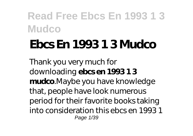# **Ebcs En 1993 1 3 Mudco**

Thank you very much for downloading **ebcs en 1993 1 3 mudco**.Maybe you have knowledge that, people have look numerous period for their favorite books taking into consideration this ebcs en 1993 1 Page 1/39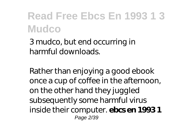3 mudco, but end occurring in harmful downloads.

Rather than enjoying a good ebook once a cup of coffee in the afternoon, on the other hand they juggled subsequently some harmful virus inside their computer. **ebcs en 1993 1** Page 2/39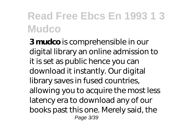**3 mudco** is comprehensible in our digital library an online admission to it is set as public hence you can download it instantly. Our digital library saves in fused countries, allowing you to acquire the most less latency era to download any of our books past this one. Merely said, the Page 3/39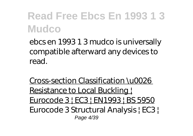ebcs en 1993 1 3 mudco is universally compatible afterward any devices to read.

Cross-section Classification \u0026 Resistance to Local Buckling ! Eurocode 3 | EC3 | EN1993 | BS 5950 *Eurocode 3 Structural Analysis | EC3 |* Page 4/39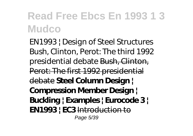*EN1993 | Design of Steel Structures* Bush, Clinton, Perot: The third 1992 presidential debate Bush, Clinton, Perot: The first 1992 presidential debate **Steel Column Design | Compression Member Design | Buckling | Examples | Eurocode 3 | EN1993 | EC3** Introduction to Page 5/39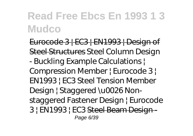Eurocode 3 | EC3 | EN1993 | Design of Steel Structures Steel Column Design - Buckling Example Calculations | Compression Member | Eurocode 3 | EN1993 | EC3 *Steel Tension Member Design | Staggered \u0026 Nonstaggered Fastener Design | Eurocode 3 | EN1993 | EC3* Steel Beam Design - Page 6/39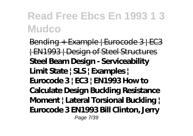Bending + Example | Eurocode 3 | EC3 | EN1993 | Design of Steel Structures **Steel Beam Design - Serviceability Limit State | SLS | Examples | Eurocode 3 | EC3 | EN1993 How to Calculate Design Buckling Resistance Moment | Lateral Torsional Buckling | Eurocode 3 EN1993 Bill Clinton, Jerry** Page 7/39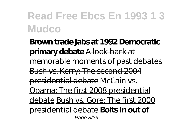**Brown trade jabs at 1992 Democratic primary debate** A look back at memorable moments of past debates Bush vs. Kerry: The second 2004 presidential debate McCain vs. Obama: The first 2008 presidential debate Bush vs. Gore: The first 2000 presidential debate **Bolts in out of** Page 8/39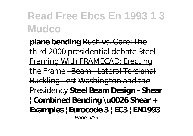**plane bending** Bush vs. Gore: The third 2000 presidential debate Steel Framing With FRAMECAD: Erecting the Frame I Beam - Lateral Torsional Buckling Test Washington and the Presidency **Steel Beam Design - Shear | Combined Bending \u0026 Shear + Examples | Eurocode 3 | EC3 | EN1993** Page 9/39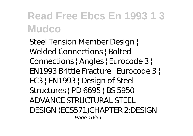*Steel Tension Member Design | Welded Connections | Bolted Connections | Angles | Eurocode 3 | EN1993 Brittle Fracture | Eurocode 3 | EC3 | EN1993 | Design of Steel Structures | PD 6695 | BS 5950* ADVANCE STRUCTURAL STEEL DESIGN (ECS571)CHAPTER 2:DESIGN

Page 10/39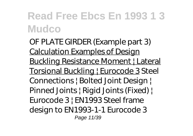OF PLATE GIRDER (Example part 3) Calculation Examples of Design **Buckling Resistance Moment | Lateral** Torsional Buckling | Eurocode 3 *Steel Connections | Bolted Joint Design | Pinned Joints | Rigid Joints (Fixed) | Eurocode 3 | EN1993* Steel frame design to EN1993-1-1 Eurocode 3 Page 11/39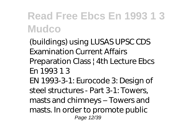(buildings) using LUSAS *UPSC CDS Examination Current Affairs Preparation Class | 4th Lecture Ebcs En 1993 1 3* EN 1993-3-1: Eurocode 3: Design of steel structures - Part 3-1: Towers, masts and chimneys – Towers and masts. In order to promote public Page 12/39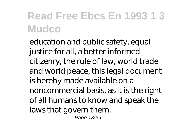education and public safety, equal justice for all, a better informed citizenry, the rule of law, world trade and world peace, this legal document is hereby made available on a noncommercial basis, as it is the right of all humans to know and speak the laws that govern them. Page 13/39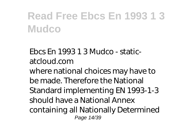*Ebcs En 1993 1 3 Mudco - staticatcloud.com* where national choices may have to be made. Therefore the National Standard implementing EN 1993-1-3 should have a National Annex containing all Nationally Determined Page 14/39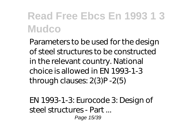Parameters to be used for the design of steel structures to be constructed in the relevant country. National choice is allowed in EN 1993-1-3 through clauses: 2(3)P -2(5)

*EN 1993-1-3: Eurocode 3: Design of steel structures - Part ...* Page 15/39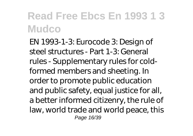EN 1993-1-3: Eurocode 3: Design of steel structures - Part 1-3: General rules - Supplementary rules for coldformed members and sheeting. In order to promote public education and public safety, equal justice for all, a better informed citizenry, the rule of law, world trade and world peace, this Page 16/39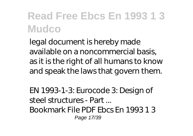legal document is hereby made available on a noncommercial basis, as it is the right of all humans to know and speak the laws that govern them.

*EN 1993-1-3: Eurocode 3: Design of steel structures - Part ...* Bookmark File PDF Ebcs En 1993 1 3 Page 17/39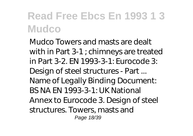Mudco Towers and masts are dealt with in Part 3-1 ; chimneys are treated in Part 3-2. EN 1993-3-1: Eurocode 3: Design of steel structures - Part ... Name of Legally Binding Document: BS NA EN 1993-3-1: UK National Annex to Eurocode 3. Design of steel structures. Towers, masts and Page 18/39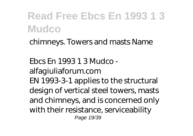chimneys. Towers and masts Name

*Ebcs En 1993 1 3 Mudco alfagiuliaforum.com* EN 1993-3-1 applies to the structural design of vertical steel towers, masts and chimneys, and is concerned only with their resistance, serviceability Page 19/39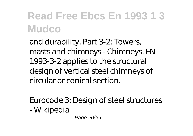and durability. Part 3-2: Towers, masts and chimneys - Chimneys. EN 1993-3-2 applies to the structural design of vertical steel chimneys of circular or conical section.

*Eurocode 3: Design of steel structures - Wikipedia*

Page 20/39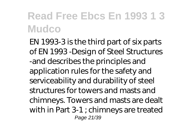EN 1993-3 is the third part of six parts of EN 1993 -Design of Steel Structures -and describes the principles and application rules for the safety and serviceability and durability of steel structures for towers and masts and chimneys. Towers and masts are dealt with in Part 3-1 ; chimneys are treated Page 21/39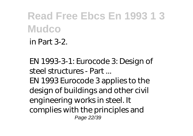in Part 3-2.

*EN 1993-3-1: Eurocode 3: Design of steel structures - Part ...* EN 1993 Eurocode 3 applies to the design of buildings and other civil engineering works in steel. It complies with the principles and Page 22/39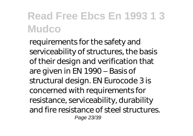requirements for the safety and serviceability of structures, the basis of their design and verification that are given in EN 1990 – Basis of structural design. EN Eurocode 3 is concerned with requirements for resistance, serviceability, durability and fire resistance of steel structures. Page 23/39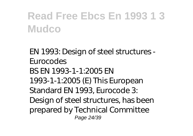*EN 1993: Design of steel structures - Eurocodes* BS EN 1993-1-1:2005 EN 1993-1-1:2005 (E) This European Standard EN 1993, Eurocode 3: Design of steel structures, has been prepared by Technical Committee Page 24/39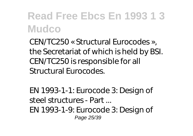CEN/TC250 « Structural Eurocodes », the Secretariat of which is held by BSI. CEN/TC250 is responsible for all Structural Eurocodes.

*EN 1993-1-1: Eurocode 3: Design of steel structures - Part ...* EN 1993-1-9: Eurocode 3: Design of Page 25/39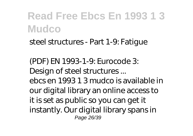steel structures - Part 1-9: Fatigue

*(PDF) EN 1993-1-9: Eurocode 3: Design of steel structures ...* ebcs en 1993 1 3 mudco is available in our digital library an online access to it is set as public so you can get it instantly. Our digital library spans in Page 26/39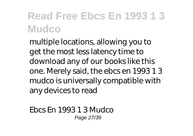multiple locations, allowing you to get the most less latency time to download any of our books like this one. Merely said, the ebcs en 1993 1 3 mudco is universally compatible with any devices to read

*Ebcs En 1993 1 3 Mudco* Page 27/39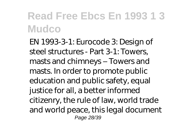EN 1993-3-1: Eurocode 3: Design of steel structures - Part 3-1: Towers, masts and chimneys – Towers and masts. In order to promote public education and public safety, equal justice for all, a better informed citizenry, the rule of law, world trade and world peace, this legal document Page 28/39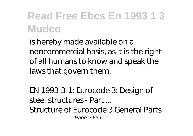is hereby made available on a noncommercial basis, as it is the right of all humans to know and speak the laws that govern them.

*EN 1993-3-1: Eurocode 3: Design of steel structures - Part ...* Structure of Eurocode 3 General Parts Page 29/39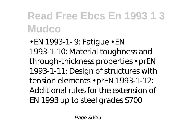• EN 1993-1- 9: Fatigue • EN 1993-1-10: Material toughness and through-thickness properties • prEN 1993-1-11: Design of structures with tension elements • prEN 1993-1-12: Additional rules for the extension of EN 1993 up to steel grades S700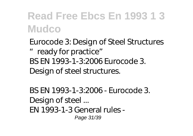*Eurocode 3: Design of Steel Structures "ready for practice"* BS EN 1993-1-3:2006 Eurocode 3. Design of steel structures.

*BS EN 1993-1-3:2006 - Eurocode 3. Design of steel ...* EN 1993-1-3 General rules - Page 31/39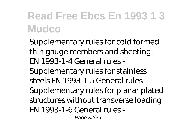Supplementary rules for cold formed thin gauge members and sheeting. EN 1993-1-4 General rules - Supplementary rules for stainless steels EN 1993-1-5 General rules - Supplementary rules for planar plated structures without transverse loading EN 1993-1-6 General rules - Page 32/39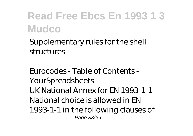Supplementary rules for the shell structures

*Eurocodes - Table of Contents - YourSpreadsheets* UK National Annex for EN 1993-1-1 National choice is allowed in EN 1993-1-1 in the following clauses of Page 33/39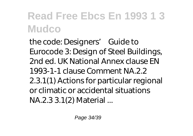the code: Designers' Guide to Eurocode 3: Design of Steel Buildings, 2nd ed. UK National Annex clause EN 1993-1-1 clause Comment NA.2.2 2.3.1(1) Actions for particular regional or climatic or accidental situations NA.2.3 3.1(2) Material ...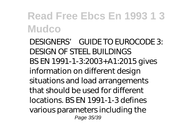*DESIGNERS' GUIDE TO EUROCODE 3: DESIGN OF STEEL BUILDINGS* BS EN 1991-1-3:2003+A1:2015 gives information on different design situations and load arrangements that should be used for different locations. BS EN 1991-1-3 defines various parameters including the Page 35/39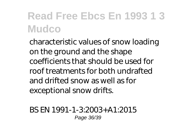characteristic values of snow loading on the ground and the shape coefficients that should be used for roof treatments for both undrafted and drifted snow as well as for exceptional snow drifts.

*BS EN 1991-1-3:2003+A1:2015* Page 36/39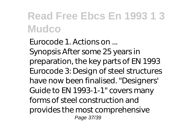*Eurocode 1. Actions on ...* Synopsis After some 25 years in preparation, the key parts of EN 1993 Eurocode 3: Design of steel structures have now been finalised. "Designers' Guide to EN 1993-1-1" covers many forms of steel construction and provides the most comprehensive Page 37/39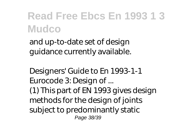and up-to-date set of design guidance currently available.

*Designers' Guide to En 1993-1-1 Eurocode 3: Design of ...* (1) This part of EN 1993 gives design methods for the design of joints subject to predominantly static Page 38/39